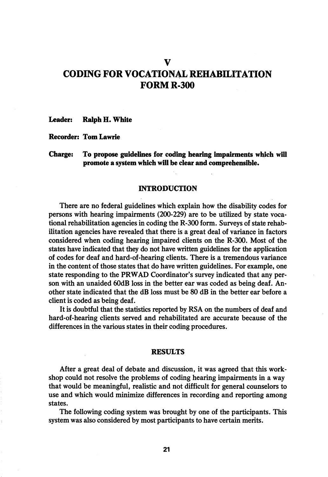# CODING FOR VOCATIONAL REHABILITATION FORM R-300

V

#### Leader: Ralph H. White

Recorder: TomLawrie

Charge: To propose guidelines for coding hearing impairments which will promote a system which will he clear and comprehensible.

### INTRODUCTION

There are no federal guidelines which explain how the disability codes for persons with hearing impairments (200-229) are to be utilized by state voca tional rehabilitation agencies in coding the R-300 form. Surveys of state rehab ilitation agencies have revealed that there is a great deal of variance in factors considered when coding hearing impaired clients on the R-300. Most of the states have indicated that they do not have written guidelines for the application of codes for deaf and hard-of-hearing clients. There is a tremendous variance in the content of those states that do have written guidelines. For example, one state responding to the PRWAD Coordinator's survey indicated that any per son with an unaided 60dB loss in the better ear was coded as being deaf. An other state indicated that the dB loss must be 80 dB in the better ear before a client is coded as being deaf.

It is doubtful that the statistics reported by RSA on the numbers of deaf and hard-of-hearing clients served and rehabilitated are accurate because of the differences in the various states in their coding procedures.

#### RESULTS

After a great deal of debate and discussion, it was agreed that this work shop could not resolve the problems of coding hearing impairments in a way that would be meaningful, realistic and not difficult for general counselors to use and which would minimize differences in recording and reporting among states.

The following coding system was brought by one of the participants. This system was also considered by most participants to have certain merits.